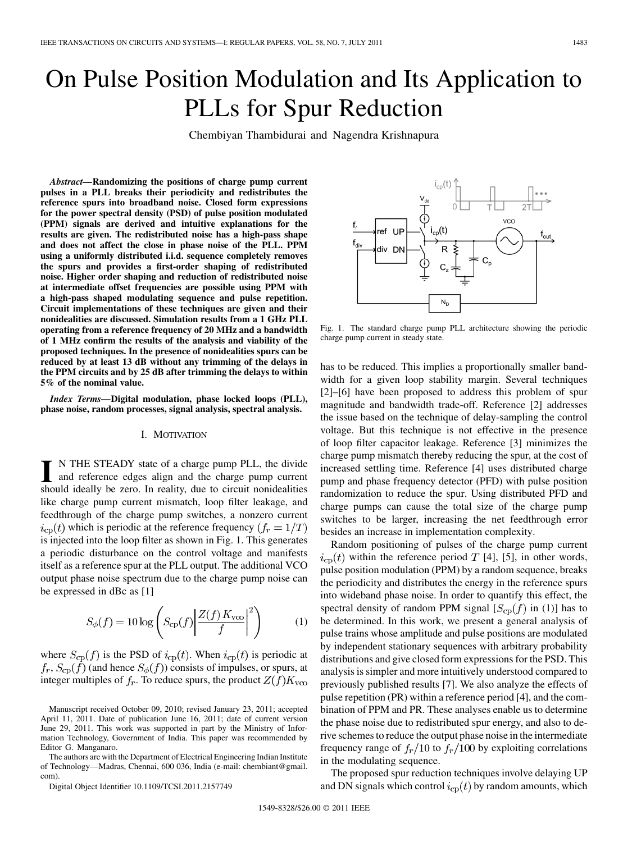# On Pulse Position Modulation and Its Application to PLLs for Spur Reduction

Chembiyan Thambidurai and Nagendra Krishnapura

*Abstract—***Randomizing the positions of charge pump current pulses in a PLL breaks their periodicity and redistributes the reference spurs into broadband noise. Closed form expressions for the power spectral density (PSD) of pulse position modulated (PPM) signals are derived and intuitive explanations for the results are given. The redistributed noise has a high-pass shape and does not affect the close in phase noise of the PLL. PPM using a uniformly distributed i.i.d. sequence completely removes the spurs and provides a first-order shaping of redistributed noise. Higher order shaping and reduction of redistributed noise at intermediate offset frequencies are possible using PPM with a high-pass shaped modulating sequence and pulse repetition. Circuit implementations of these techniques are given and their nonidealities are discussed. Simulation results from a 1 GHz PLL operating from a reference frequency of 20 MHz and a bandwidth of 1 MHz confirm the results of the analysis and viability of the proposed techniques. In the presence of nonidealities spurs can be reduced by at least 13 dB without any trimming of the delays in the PPM circuits and by 25 dB after trimming the delays to within 5% of the nominal value.**

*Index Terms—***Digital modulation, phase locked loops (PLL), phase noise, random processes, signal analysis, spectral analysis.**

#### I. MOTIVATION

**I** N THE STEADY state of a charge pump PLL, the divide and reference edges align and the charge pump current should ideally be zero. In reality, due to circuit nonidealities like charge pump current mismatch, loop filter leakage, and feedthrough of the charge pump switches, a nonzero current  $i_{\text{cp}}(t)$  which is periodic at the reference frequency  $(f_r = 1/T)$ is injected into the loop filter as shown in Fig. 1. This generates a periodic disturbance on the control voltage and manifests itself as a reference spur at the PLL output. The additional VCO output phase noise spectrum due to the charge pump noise can be expressed in dBc as [1]

$$
S_{\phi}(f) = 10 \log \left( S_{\rm cp}(f) \left| \frac{Z(f) K_{\rm vco}}{f} \right|^2 \right) \tag{1}
$$

where  $S_{cp}(f)$  is the PSD of  $i_{cp}(t)$ . When  $i_{cp}(t)$  is periodic at  $f_r$ ,  $S_{cp}(f)$  (and hence  $S_{\phi}(f)$ ) consists of impulses, or spurs, at integer multiples of  $f_r$ . To reduce spurs, the product  $Z(f)K_{\text{vco}}$ 

The authors are with the Department of Electrical Engineering Indian Institute of Technology—Madras, Chennai, 600 036, India (e-mail: chembiant@gmail. com)

Digital Object Identifier 10.1109/TCSI.2011.2157749



Fig. 1. The standard charge pump PLL architecture showing the periodic charge pump current in steady state.

has to be reduced. This implies a proportionally smaller bandwidth for a given loop stability margin. Several techniques [2]–[6] have been proposed to address this problem of spur magnitude and bandwidth trade-off. Reference [2] addresses the issue based on the technique of delay-sampling the control voltage. But this technique is not effective in the presence of loop filter capacitor leakage. Reference [3] minimizes the charge pump mismatch thereby reducing the spur, at the cost of increased settling time. Reference [4] uses distributed charge pump and phase frequency detector (PFD) with pulse position randomization to reduce the spur. Using distributed PFD and charge pumps can cause the total size of the charge pump switches to be larger, increasing the net feedthrough error besides an increase in implementation complexity.

Random positioning of pulses of the charge pump current  $i_{\text{cp}}(t)$  within the reference period T [4], [5], in other words, pulse position modulation (PPM) by a random sequence, breaks the periodicity and distributes the energy in the reference spurs into wideband phase noise. In order to quantify this effect, the spectral density of random PPM signal  $[S_{cp}(f)$  in (1)] has to be determined. In this work, we present a general analysis of pulse trains whose amplitude and pulse positions are modulated by independent stationary sequences with arbitrary probability distributions and give closed form expressions for the PSD. This analysis is simpler and more intuitively understood compared to previously published results [7]. We also analyze the effects of pulse repetition (PR) within a reference period [4], and the combination of PPM and PR. These analyses enable us to determine the phase noise due to redistributed spur energy, and also to derive schemes to reduce the output phase noise in the intermediate frequency range of  $f_r/10$  to  $f_r/100$  by exploiting correlations in the modulating sequence.

The proposed spur reduction techniques involve delaying UP and DN signals which control  $i_{cp}(t)$  by random amounts, which

Manuscript received October 09, 2010; revised January 23, 2011; accepted April 11, 2011. Date of publication June 16, 2011; date of current version June 29, 2011. This work was supported in part by the Ministry of Information Technology, Government of India. This paper was recommended by Editor G. Manganaro.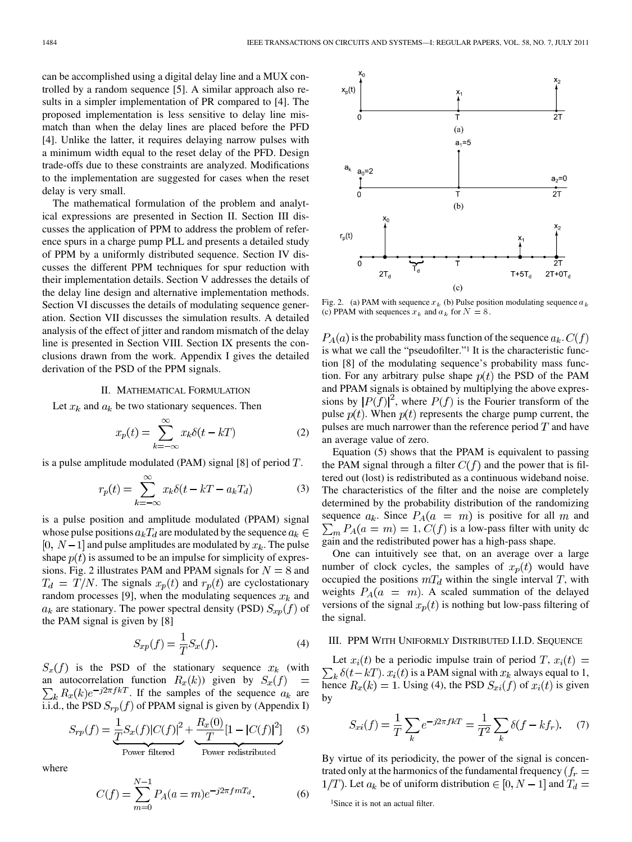can be accomplished using a digital delay line and a MUX controlled by a random sequence [5]. A similar approach also results in a simpler implementation of PR compared to [4]. The proposed implementation is less sensitive to delay line mismatch than when the delay lines are placed before the PFD [4]. Unlike the latter, it requires delaying narrow pulses with a minimum width equal to the reset delay of the PFD. Design trade-offs due to these constraints are analyzed. Modifications to the implementation are suggested for cases when the reset delay is very small.

The mathematical formulation of the problem and analytical expressions are presented in Section II. Section III discusses the application of PPM to address the problem of reference spurs in a charge pump PLL and presents a detailed study of PPM by a uniformly distributed sequence. Section IV discusses the different PPM techniques for spur reduction with their implementation details. Section V addresses the details of the delay line design and alternative implementation methods. Section VI discusses the details of modulating sequence generation. Section VII discusses the simulation results. A detailed analysis of the effect of jitter and random mismatch of the delay line is presented in Section VIII. Section IX presents the conclusions drawn from the work. Appendix I gives the detailed derivation of the PSD of the PPM signals.

## II. MATHEMATICAL FORMULATION

Let  $x_k$  and  $a_k$  be two stationary sequences. Then

$$
x_p(t) = \sum_{k=-\infty}^{\infty} x_k \delta(t - kT)
$$
 (2)

is a pulse amplitude modulated (PAM) signal  $[8]$  of period  $T$ .

$$
r_p(t) = \sum_{k=-\infty}^{\infty} x_k \delta(t - kT - a_k T_d)
$$
 (3)

is a pulse position and amplitude modulated (PPAM) signal whose pulse positions  $a_k T_d$  are modulated by the sequence  $a_k \in$ [0,  $N-1$ ] and pulse amplitudes are modulated by  $x_k$ . The pulse shape  $p(t)$  is assumed to be an impulse for simplicity of expressions. Fig. 2 illustrates PAM and PPAM signals for  $N = 8$  and  $T_d = T/N$ . The signals  $x_p(t)$  and  $r_p(t)$  are cyclostationary random processes [9], when the modulating sequences  $x_k$  and  $a_k$  are stationary. The power spectral density (PSD)  $S_{xp}(f)$  of the PAM signal is given by [8]

$$
S_{xp}(f) = \frac{1}{T} S_x(f). \tag{4}
$$

 $S_x(f)$  is the PSD of the stationary sequence  $x_k$  (with an autocorrelation function  $R_x(k)$  given by  $S_x(f)$ . If the samples of the sequence  $a_k$  are i.i.d., the PSD  $S_{rp}(f)$  of PPAM signal is given by (Appendix I)

$$
S_{rp}(f) = \underbrace{\frac{1}{T}S_x(f)|C(f)|^2}_{\text{Power filtered}} + \underbrace{\frac{R_x(0)}{T}[1 - |C(f)|^2]}_{\text{Power redistributed}} \quad (5)
$$

where

$$
C(f) = \sum_{m=0}^{N-1} P_A(a=m)e^{-j2\pi fmT_d}.
$$
 (6)



Fig. 2. (a) PAM with sequence  $x_k$  (b) Pulse position modulating sequence a (c) PPAM with sequences  $x_k$  and  $a_k$  for  $N = 8$ .

 $P_A(a)$  is the probability mass function of the sequence  $a_k$ .  $C(f)$ is what we call the "pseudofilter."1 It is the characteristic function [8] of the modulating sequence's probability mass function. For any arbitrary pulse shape  $p(t)$  the PSD of the PAM and PPAM signals is obtained by multiplying the above expressions by  $|P(f)|^2$ , where  $P(f)$  is the Fourier transform of the pulse  $p(t)$ . When  $p(t)$  represents the charge pump current, the pulses are much narrower than the reference period  $T$  and have an average value of zero.

Equation (5) shows that the PPAM is equivalent to passing the PAM signal through a filter  $C(f)$  and the power that is filtered out (lost) is redistributed as a continuous wideband noise. The characteristics of the filter and the noise are completely determined by the probability distribution of the randomizing sequence  $a_k$ . Since  $P_A(a = m)$  is positive for all m and  $\sum_{m} P_{A}(a = m) = 1, C(f)$  is a low-pass filter with unity dc gain and the redistributed power has a high-pass shape.

One can intuitively see that, on an average over a large number of clock cycles, the samples of  $x_p(t)$  would have occupied the positions  $mT_d$  within the single interval T, with weights  $P_A(a = m)$ . A scaled summation of the delayed versions of the signal  $x_p(t)$  is nothing but low-pass filtering of the signal.

## III. PPM WITH UNIFORMLY DISTRIBUTED I.I.D. SEQUENCE

Let  $x_i(t)$  be a periodic impulse train of period T,  $x_i(t)$  =  $\sum_k \delta(t - kT)$ .  $x_i(t)$  is a PAM signal with  $x_k$  always equal to 1, hence  $R_x(k) = 1$ . Using (4), the PSD  $S_{xi}(f)$  of  $x_i(t)$  is given by

$$
S_{xi}(f) = \frac{1}{T} \sum_{k} e^{-j2\pi f kT} = \frac{1}{T^2} \sum_{k} \delta(f - kf_r). \tag{7}
$$

By virtue of its periodicity, the power of the signal is concentrated only at the harmonics of the fundamental frequency ( $f_r =$  $1/T$ ). Let  $a_k$  be of uniform distribution  $\in [0, N-1]$  and  $T_d =$ 

<sup>&</sup>lt;sup>1</sup>Since it is not an actual filter.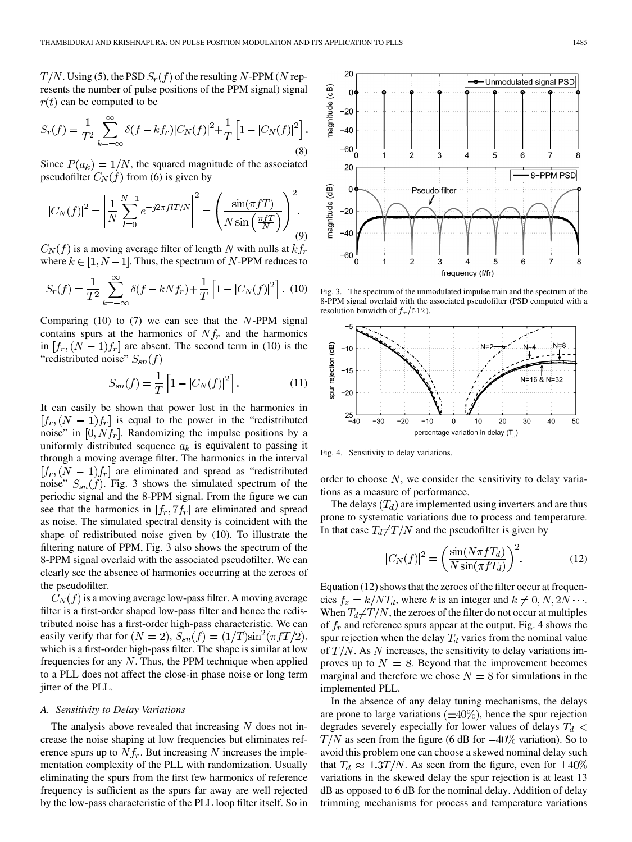$T/N$ . Using (5), the PSD  $S_r(f)$  of the resulting N-PPM (N represents the number of pulse positions of the PPM signal) signal  $r(t)$  can be computed to be

$$
S_r(f) = \frac{1}{T^2} \sum_{k=-\infty}^{\infty} \delta(f - kf_r) |C_N(f)|^2 + \frac{1}{T} \left[ 1 - |C_N(f)|^2 \right].
$$
\n(8)

Since  $P(a_k) = 1/N$ , the squared magnitude of the associated pseudofilter  $C_N(f)$  from (6) is given by

$$
|C_N(f)|^2 = \left|\frac{1}{N}\sum_{l=0}^{N-1} e^{-j2\pi f lT/N}\right|^2 = \left(\frac{\sin(\pi f T)}{N\sin\left(\frac{\pi f T}{N}\right)}\right)^2.
$$
\n(9)

 $C_N(f)$  is a moving average filter of length N with nulls at  $kf_r$ where  $k \in [1, N-1]$ . Thus, the spectrum of N-PPM reduces to

$$
S_r(f) = \frac{1}{T^2} \sum_{k=-\infty}^{\infty} \delta(f - kNf_r) + \frac{1}{T} \left[ 1 - |C_N(f)|^2 \right]. \tag{10}
$$

Comparing (10) to (7) we can see that the  $N$ -PPM signal contains spurs at the harmonics of  $Nf<sub>r</sub>$  and the harmonics in  $[f_r, (N-1)f_r]$  are absent. The second term in (10) is the "redistributed noise"  $S_{sn}(f)$ 

$$
S_{sn}(f) = \frac{1}{T} \left[ 1 - |C_N(f)|^2 \right].
$$
 (11)

It can easily be shown that power lost in the harmonics in  $[f_r, (N-1)f_r]$  is equal to the power in the "redistributed" noise" in  $[0, Nf_r]$ . Randomizing the impulse positions by a uniformly distributed sequence  $a_k$  is equivalent to passing it through a moving average filter. The harmonics in the interval  $[f_r, (N-1)f_r]$  are eliminated and spread as "redistributed" noise"  $S_{sn}(f)$ . Fig. 3 shows the simulated spectrum of the periodic signal and the 8-PPM signal. From the figure we can see that the harmonics in  $[f_r, 7f_r]$  are eliminated and spread as noise. The simulated spectral density is coincident with the shape of redistributed noise given by (10). To illustrate the filtering nature of PPM, Fig. 3 also shows the spectrum of the 8-PPM signal overlaid with the associated pseudofilter. We can clearly see the absence of harmonics occurring at the zeroes of the pseudofilter.

 $C<sub>N</sub>(f)$  is a moving average low-pass filter. A moving average filter is a first-order shaped low-pass filter and hence the redistributed noise has a first-order high-pass characteristic. We can easily verify that for  $(N = 2)$ ,  $S_{sn}(f) = (1/T)\sin^2(\pi fT/2)$ , which is a first-order high-pass filter. The shape is similar at low frequencies for any  $N$ . Thus, the PPM technique when applied to a PLL does not affect the close-in phase noise or long term jitter of the PLL.

#### *A. Sensitivity to Delay Variations*

The analysis above revealed that increasing  $N$  does not increase the noise shaping at low frequencies but eliminates reference spurs up to  $Nf_r$ . But increasing N increases the implementation complexity of the PLL with randomization. Usually eliminating the spurs from the first few harmonics of reference frequency is sufficient as the spurs far away are well rejected by the low-pass characteristic of the PLL loop filter itself. So in



Fig. 3. The spectrum of the unmodulated impulse train and the spectrum of the 8-PPM signal overlaid with the associated pseudofilter (PSD computed with a resolution binwidth of  $f_r/512$ ).



Fig. 4. Sensitivity to delay variations.

order to choose  $N$ , we consider the sensitivity to delay variations as a measure of performance.

The delays  $(T_d)$  are implemented using inverters and are thus prone to systematic variations due to process and temperature. In that case  $T_d \neq T/N$  and the pseudofilter is given by

$$
|C_N(f)|^2 = \left(\frac{\sin(N\pi f T_d)}{N\sin(\pi f T_d)}\right)^2.
$$
 (12)

Equation (12) shows that the zeroes of the filter occur at frequencies  $f_z = k/NT_d$ , where k is an integer and  $k \neq 0, N, 2N \cdots$ . When  $T_d \neq T/N$ , the zeroes of the filter do not occur at multiples of  $f_r$  and reference spurs appear at the output. Fig. 4 shows the spur rejection when the delay  $T_d$  varies from the nominal value of  $T/N$ . As N increases, the sensitivity to delay variations improves up to  $N = 8$ . Beyond that the improvement becomes marginal and therefore we chose  $N = 8$  for simulations in the implemented PLL.

In the absence of any delay tuning mechanisms, the delays are prone to large variations  $(\pm 40\%)$ , hence the spur rejection degrades severely especially for lower values of delays  $T_d$  <  $T/N$  as seen from the figure (6 dB for  $-40\%$  variation). So to avoid this problem one can choose a skewed nominal delay such that  $T_d \approx 1.3T/N$ . As seen from the figure, even for  $\pm 40\%$ variations in the skewed delay the spur rejection is at least 13 dB as opposed to 6 dB for the nominal delay. Addition of delay trimming mechanisms for process and temperature variations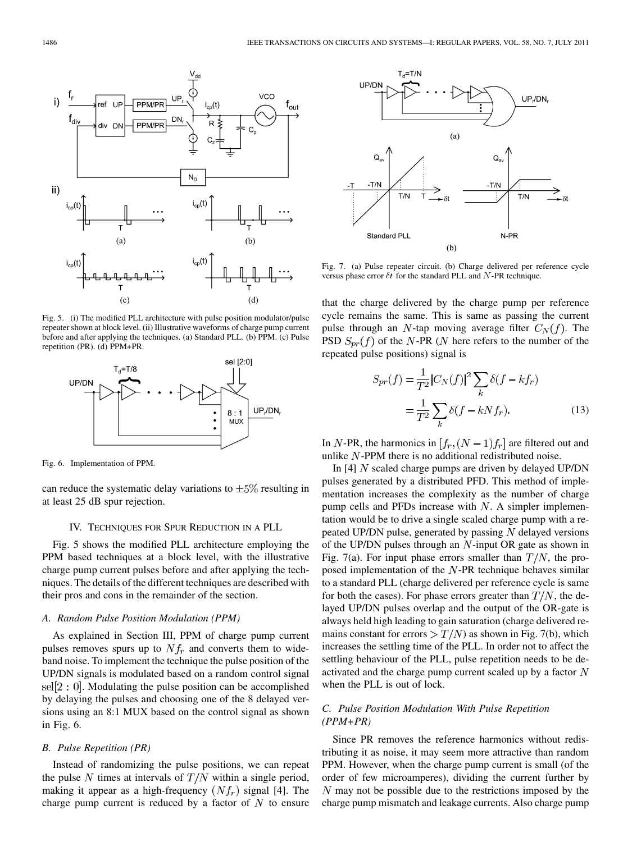

Fig. 5. (i) The modified PLL architecture with pulse position modulator/pulse repeater shown at block level. (ii) Illustrative waveforms of charge pump current before and after applying the techniques. (a) Standard PLL. (b) PPM. (c) Pulse repetition (PR). (d) PPM+PR.



Fig. 6. Implementation of PPM.

can reduce the systematic delay variations to  $\pm 5\%$  resulting in at least 25 dB spur rejection.

## IV. TECHNIQUES FOR SPUR REDUCTION IN A PLL

Fig. 5 shows the modified PLL architecture employing the PPM based techniques at a block level, with the illustrative charge pump current pulses before and after applying the techniques. The details of the different techniques are described with their pros and cons in the remainder of the section.

## *A. Random Pulse Position Modulation (PPM)*

As explained in Section III, PPM of charge pump current pulses removes spurs up to  $Nf_r$  and converts them to wideband noise. To implement the technique the pulse position of the UP/DN signals is modulated based on a random control signal sel $[2:0]$ . Modulating the pulse position can be accomplished by delaying the pulses and choosing one of the 8 delayed versions using an 8:1 MUX based on the control signal as shown in Fig. 6.

## *B. Pulse Repetition (PR)*

Instead of randomizing the pulse positions, we can repeat the pulse N times at intervals of  $T/N$  within a single period, making it appear as a high-frequency  $(Nf_r)$  signal [4]. The charge pump current is reduced by a factor of  $N$  to ensure



Fig. 7. (a) Pulse repeater circuit. (b) Charge delivered per reference cycle versus phase error  $\delta t$  for the standard PLL and N-PR technique.

that the charge delivered by the charge pump per reference cycle remains the same. This is same as passing the current pulse through an N-tap moving average filter  $C<sub>N</sub>(f)$ . The PSD  $S_{pr}(f)$  of the N-PR (N here refers to the number of the repeated pulse positions) signal is

$$
S_{pr}(f) = \frac{1}{T^2} |C_N(f)|^2 \sum_k \delta(f - kf_r)
$$

$$
= \frac{1}{T^2} \sum_k \delta(f - kNf_r).
$$
 (13)

In N-PR, the harmonics in  $[f_r, (N-1)f_r]$  are filtered out and unlike  $N$ -PPM there is no additional redistributed noise.

In [4]  $N$  scaled charge pumps are driven by delayed UP/DN pulses generated by a distributed PFD. This method of implementation increases the complexity as the number of charge pump cells and PFDs increase with  $N$ . A simpler implementation would be to drive a single scaled charge pump with a repeated UP/DN pulse, generated by passing  $N$  delayed versions of the UP/DN pulses through an  $N$ -input OR gate as shown in Fig. 7(a). For input phase errors smaller than  $T/N$ , the proposed implementation of the  $N$ -PR technique behaves similar to a standard PLL (charge delivered per reference cycle is same for both the cases). For phase errors greater than  $T/N$ , the delayed UP/DN pulses overlap and the output of the OR-gate is always held high leading to gain saturation (charge delivered remains constant for errors  $\fracgt{T}{N}$  as shown in Fig. 7(b), which increases the settling time of the PLL. In order not to affect the settling behaviour of the PLL, pulse repetition needs to be deactivated and the charge pump current scaled up by a factor  $N$ when the PLL is out of lock.

# *C. Pulse Position Modulation With Pulse Repetition (PPM+PR)*

Since PR removes the reference harmonics without redistributing it as noise, it may seem more attractive than random PPM. However, when the charge pump current is small (of the order of few microamperes), dividing the current further by  *may not be possible due to the restrictions imposed by the* charge pump mismatch and leakage currents. Also charge pump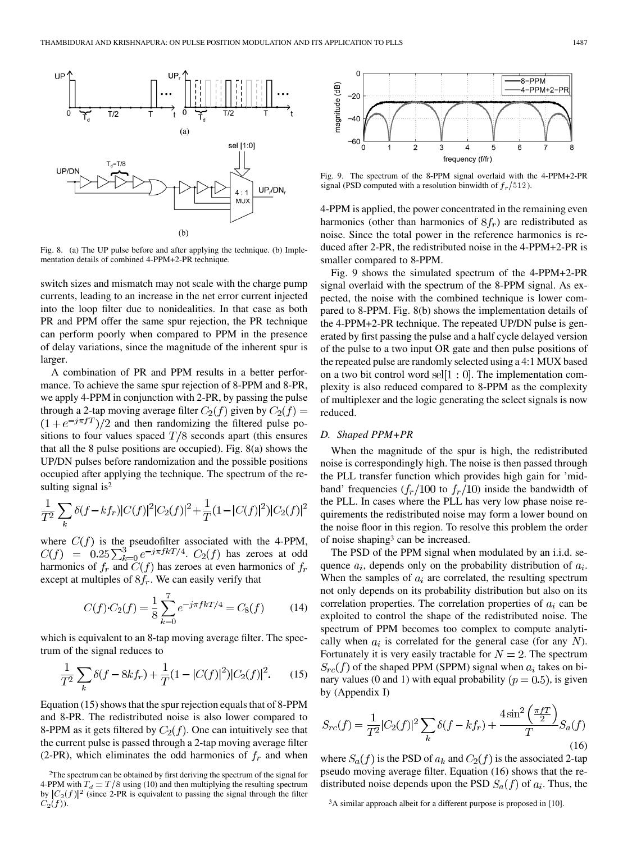

Fig. 8. (a) The UP pulse before and after applying the technique. (b) Implementation details of combined 4-PPM+2-PR technique.

switch sizes and mismatch may not scale with the charge pump currents, leading to an increase in the net error current injected into the loop filter due to nonidealities. In that case as both PR and PPM offer the same spur rejection, the PR technique can perform poorly when compared to PPM in the presence of delay variations, since the magnitude of the inherent spur is larger.

A combination of PR and PPM results in a better performance. To achieve the same spur rejection of 8-PPM and 8-PR, we apply 4-PPM in conjunction with 2-PR, by passing the pulse through a 2-tap moving average filter  $C_2(f)$  given by  $C_2(f)$  =  $(1 + e^{-j\pi fT})/2$  and then randomizing the filtered pulse positions to four values spaced  $T/8$  seconds apart (this ensures that all the 8 pulse positions are occupied). Fig. 8(a) shows the UP/DN pulses before randomization and the possible positions occupied after applying the technique. The spectrum of the resulting signal is<sup>2</sup>

$$
\frac{1}{T^2} \sum_{k} \delta(f - kf_r) |C(f)|^2 |C_2(f)|^2 + \frac{1}{T} (1 - |C(f)|^2) |C_2(f)|^2
$$

where  $C(f)$  is the pseudofilter associated with the 4-PPM, .  $C_2(f)$  has zeroes at odd harmonics of  $f_r$  and  $C(f)$  has zeroes at even harmonics of  $f_r$ except at multiples of  $8f_r$ . We can easily verify that

$$
C(f) \cdot C_2(f) = \frac{1}{8} \sum_{k=0}^{7} e^{-j\pi f kT/4} = C_8(f) \tag{14}
$$

which is equivalent to an 8-tap moving average filter. The spectrum of the signal reduces to

$$
\frac{1}{T^2} \sum_{k} \delta(f - 8kf_r) + \frac{1}{T} (1 - |C(f)|^2) |C_2(f)|^2.
$$
 (15)

Equation (15) shows that the spur rejection equals that of 8-PPM and 8-PR. The redistributed noise is also lower compared to 8-PPM as it gets filtered by  $C_2(f)$ . One can intuitively see that the current pulse is passed through a 2-tap moving average filter (2-PR), which eliminates the odd harmonics of  $f_r$  and when



Fig. 9. The spectrum of the 8-PPM signal overlaid with the 4-PPM+2-PR signal (PSD computed with a resolution binwidth of  $f_r/512$ ).

4-PPM is applied, the power concentrated in the remaining even harmonics (other than harmonics of  $8f_r$ ) are redistributed as noise. Since the total power in the reference harmonics is reduced after 2-PR, the redistributed noise in the 4-PPM+2-PR is smaller compared to 8-PPM.

Fig. 9 shows the simulated spectrum of the 4-PPM+2-PR signal overlaid with the spectrum of the 8-PPM signal. As expected, the noise with the combined technique is lower compared to 8-PPM. Fig. 8(b) shows the implementation details of the 4-PPM+2-PR technique. The repeated UP/DN pulse is generated by first passing the pulse and a half cycle delayed version of the pulse to a two input OR gate and then pulse positions of the repeated pulse are randomly selected using a 4:1 MUX based on a two bit control word  $\text{sel}[1:0]$ . The implementation complexity is also reduced compared to 8-PPM as the complexity of multiplexer and the logic generating the select signals is now reduced.

### *D. Shaped PPM+PR*

When the magnitude of the spur is high, the redistributed noise is correspondingly high. The noise is then passed through the PLL transfer function which provides high gain for 'midband' frequencies  $(f_r/100 \text{ to } f_r/10)$  inside the bandwidth of the PLL. In cases where the PLL has very low phase noise requirements the redistributed noise may form a lower bound on the noise floor in this region. To resolve this problem the order of noise shaping3 can be increased.

The PSD of the PPM signal when modulated by an i.i.d. sequence  $a_i$ , depends only on the probability distribution of  $a_i$ . When the samples of  $a_i$  are correlated, the resulting spectrum not only depends on its probability distribution but also on its correlation properties. The correlation properties of  $a_i$  can be exploited to control the shape of the redistributed noise. The spectrum of PPM becomes too complex to compute analytically when  $a_i$  is correlated for the general case (for any N). Fortunately it is very easily tractable for  $N = 2$ . The spectrum  $S_{rc}(f)$  of the shaped PPM (SPPM) signal when  $a_i$  takes on binary values (0 and 1) with equal probability ( $p = 0.5$ ), is given by (Appendix I)

$$
S_{rc}(f) = \frac{1}{T^2} |C_2(f)|^2 \sum_{k} \delta(f - kf_r) + \frac{4 \sin^2\left(\frac{\pi f T}{2}\right)}{T} S_a(f)
$$
\n(16)

where  $S_a(f)$  is the PSD of  $a_k$  and  $C_2(f)$  is the associated 2-tap pseudo moving average filter. Equation (16) shows that the redistributed noise depends upon the PSD  $S_a(f)$  of  $a_i$ . Thus, the

3A similar approach albeit for a different purpose is proposed in [10].

<sup>2</sup>The spectrum can be obtained by first deriving the spectrum of the signal for 4-PPM with  $T_d = T/8$  using (10) and then multiplying the resulting spectrum by  $|C_2(f)|^2$  (since 2-PR is equivalent to passing the signal through the filter  $C_2(f)$ ).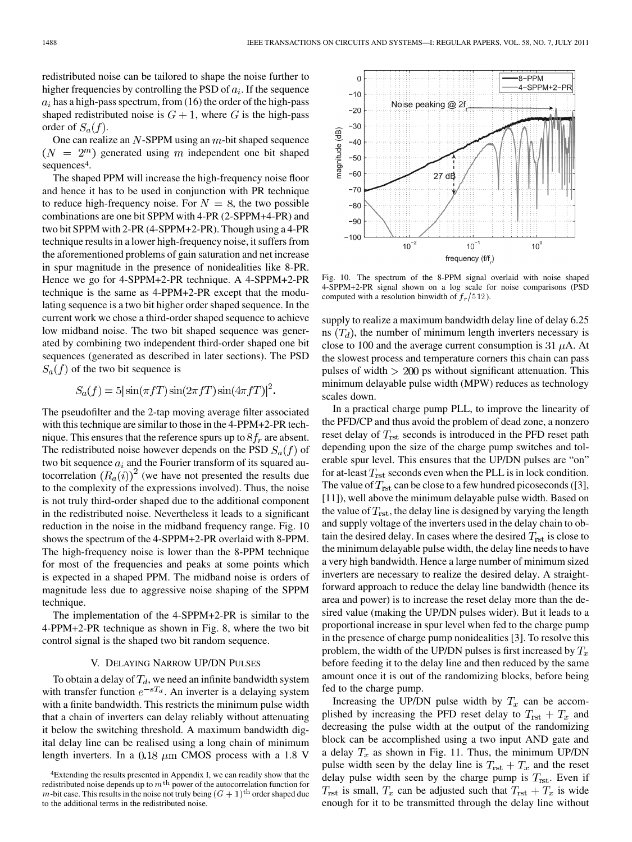redistributed noise can be tailored to shape the noise further to higher frequencies by controlling the PSD of  $a_i$ . If the sequence  $a_i$  has a high-pass spectrum, from (16) the order of the high-pass shaped redistributed noise is  $G + 1$ , where G is the high-pass order of  $S_a(f)$ .

One can realize an  $N$ -SPPM using an  $m$ -bit shaped sequence  $(N = 2<sup>m</sup>)$  generated using m independent one bit shaped sequences<sup>4</sup>.

The shaped PPM will increase the high-frequency noise floor and hence it has to be used in conjunction with PR technique to reduce high-frequency noise. For  $N = 8$ , the two possible combinations are one bit SPPM with 4-PR (2-SPPM+4-PR) and two bit SPPM with 2-PR (4-SPPM+2-PR). Though using a 4-PR technique results in a lower high-frequency noise, it suffers from the aforementioned problems of gain saturation and net increase in spur magnitude in the presence of nonidealities like 8-PR. Hence we go for 4-SPPM+2-PR technique. A 4-SPPM+2-PR technique is the same as 4-PPM+2-PR except that the modulating sequence is a two bit higher order shaped sequence. In the current work we chose a third-order shaped sequence to achieve low midband noise. The two bit shaped sequence was generated by combining two independent third-order shaped one bit sequences (generated as described in later sections). The PSD  $S_a(f)$  of the two bit sequence is

$$
S_a(f) = 5\left|\sin(\pi fT)\sin(2\pi fT)\sin(4\pi fT)\right|^2
$$

The pseudofilter and the 2-tap moving average filter associated with this technique are similar to those in the 4-PPM+2-PR technique. This ensures that the reference spurs up to  $8f_r$  are absent. The redistributed noise however depends on the PSD  $S_a(f)$  of two bit sequence  $a_i$  and the Fourier transform of its squared autocorrelation  $(R_a(i))^2$  (we have not presented the results due to the complexity of the expressions involved). Thus, the noise is not truly third-order shaped due to the additional component in the redistributed noise. Nevertheless it leads to a significant reduction in the noise in the midband frequency range. Fig. 10 shows the spectrum of the 4-SPPM+2-PR overlaid with 8-PPM. The high-frequency noise is lower than the 8-PPM technique for most of the frequencies and peaks at some points which is expected in a shaped PPM. The midband noise is orders of magnitude less due to aggressive noise shaping of the SPPM technique.

The implementation of the 4-SPPM+2-PR is similar to the 4-PPM+2-PR technique as shown in Fig. 8, where the two bit control signal is the shaped two bit random sequence.

#### V. DELAYING NARROW UP/DN PULSES

To obtain a delay of  $T_d$ , we need an infinite bandwidth system with transfer function  $e^{-sT_d}$ . An inverter is a delaying system with a finite bandwidth. This restricts the minimum pulse width that a chain of inverters can delay reliably without attenuating it below the switching threshold. A maximum bandwidth digital delay line can be realised using a long chain of minimum length inverters. In a 0.18  $\mu$ m CMOS process with a 1.8 V



Fig. 10. The spectrum of the 8-PPM signal overlaid with noise shaped 4-SPPM+2-PR signal shown on a log scale for noise comparisons (PSD computed with a resolution binwidth of  $f_r/512$ ).

supply to realize a maximum bandwidth delay line of delay 6.25 ns  $(T_d)$ , the number of minimum length inverters necessary is close to 100 and the average current consumption is 31  $\mu$ A. At the slowest process and temperature corners this chain can pass pulses of width  $> 200$  ps without significant attenuation. This minimum delayable pulse width (MPW) reduces as technology scales down.

In a practical charge pump PLL, to improve the linearity of the PFD/CP and thus avoid the problem of dead zone, a nonzero reset delay of  $T_{\text{rst}}$  seconds is introduced in the PFD reset path depending upon the size of the charge pump switches and tolerable spur level. This ensures that the UP/DN pulses are "on" for at-least  $T_{\text{rst}}$  seconds even when the PLL is in lock condition. The value of  $T_{\text{rst}}$  can be close to a few hundred picoseconds ([3], [11]), well above the minimum delayable pulse width. Based on the value of  $T_{\rm rst}$ , the delay line is designed by varying the length and supply voltage of the inverters used in the delay chain to obtain the desired delay. In cases where the desired  $T_{\rm rst}$  is close to the minimum delayable pulse width, the delay line needs to have a very high bandwidth. Hence a large number of minimum sized inverters are necessary to realize the desired delay. A straightforward approach to reduce the delay line bandwidth (hence its area and power) is to increase the reset delay more than the desired value (making the UP/DN pulses wider). But it leads to a proportional increase in spur level when fed to the charge pump in the presence of charge pump nonidealities [3]. To resolve this problem, the width of the UP/DN pulses is first increased by  $T_x$ before feeding it to the delay line and then reduced by the same amount once it is out of the randomizing blocks, before being fed to the charge pump.

Increasing the UP/DN pulse width by  $T_x$  can be accomplished by increasing the PFD reset delay to  $T_{\text{rst}} + T_x$  and decreasing the pulse width at the output of the randomizing block can be accomplished using a two input AND gate and a delay  $T_x$  as shown in Fig. 11. Thus, the minimum UP/DN pulse width seen by the delay line is  $T_{\text{rst}} + T_x$  and the reset delay pulse width seen by the charge pump is  $T_{\rm rst}$ . Even if  $T_{\rm rst}$  is small,  $T_x$  can be adjusted such that  $T_{\rm rst} + T_x$  is wide enough for it to be transmitted through the delay line without

<sup>4</sup>Extending the results presented in Appendix I, we can readily show that the redistributed noise depends up to  $m<sup>th</sup>$  power of the autocorrelation function for m-bit case. This results in the noise not truly being  $(G + 1)$ <sup>th</sup> order shaped due to the additional terms in the redistributed noise.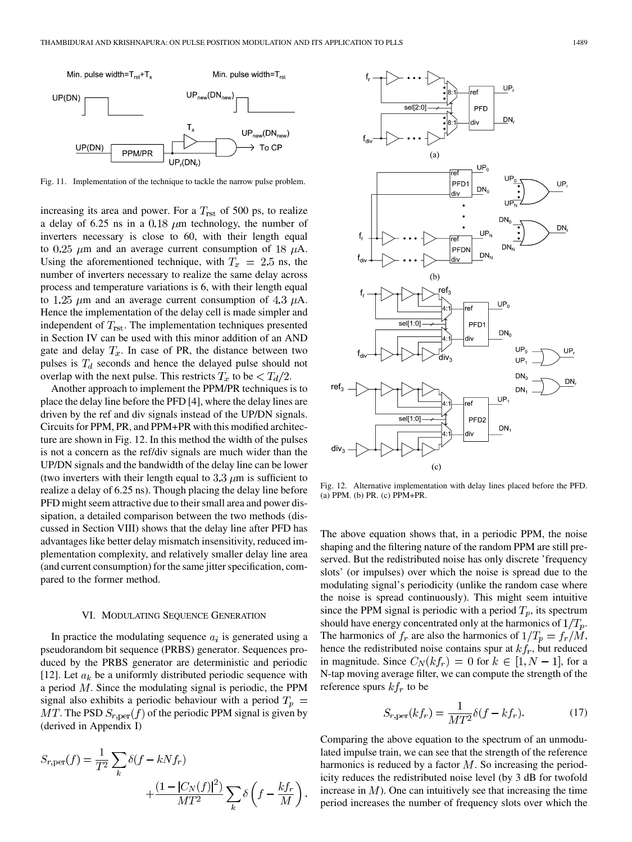

Fig. 11. Implementation of the technique to tackle the narrow pulse problem.

increasing its area and power. For a  $T_{\rm rst}$  of 500 ps, to realize a delay of 6.25 ns in a 0.18  $\mu$ m technology, the number of inverters necessary is close to 60, with their length equal to 0.25  $\mu$ m and an average current consumption of 18  $\mu$ A. Using the aforementioned technique, with  $T_x = 2.5$  ns, the number of inverters necessary to realize the same delay across process and temperature variations is 6, with their length equal to 1.25  $\mu$ m and an average current consumption of 4.3  $\mu$ A. Hence the implementation of the delay cell is made simpler and independent of  $T_{\text{rst}}$ . The implementation techniques presented in Section IV can be used with this minor addition of an AND gate and delay  $T_x$ . In case of PR, the distance between two pulses is  $T_d$  seconds and hence the delayed pulse should not overlap with the next pulse. This restricts  $T_x$  to be  $\langle T_d/2 \rangle$ .

Another approach to implement the PPM/PR techniques is to place the delay line before the PFD [4], where the delay lines are driven by the ref and div signals instead of the UP/DN signals. Circuits for PPM, PR, and PPM+PR with this modified architecture are shown in Fig. 12. In this method the width of the pulses is not a concern as the ref/div signals are much wider than the UP/DN signals and the bandwidth of the delay line can be lower (two inverters with their length equal to 3.3  $\mu$ m is sufficient to realize a delay of 6.25 ns). Though placing the delay line before PFD might seem attractive due to their small area and power dissipation, a detailed comparison between the two methods (discussed in Section VIII) shows that the delay line after PFD has advantages like better delay mismatch insensitivity, reduced implementation complexity, and relatively smaller delay line area (and current consumption) for the same jitter specification, compared to the former method.

## VI. MODULATING SEQUENCE GENERATION

In practice the modulating sequence  $a_i$  is generated using a pseudorandom bit sequence (PRBS) generator. Sequences produced by the PRBS generator are deterministic and periodic [12]. Let  $a_k$  be a uniformly distributed periodic sequence with a period  $M$ . Since the modulating signal is periodic, the PPM signal also exhibits a periodic behaviour with a period  $T_p =$  $MT$ . The PSD  $S_{r,\text{per}}(f)$  of the periodic PPM signal is given by (derived in Appendix I)

$$
S_{r,per}(f) = \frac{1}{T^2} \sum_{k} \delta(f - kNf_r) + \frac{(1 - |C_N(f)|^2)}{MT^2} \sum_{k} \delta\left(f - \frac{kf_r}{M}\right).
$$



Fig. 12. Alternative implementation with delay lines placed before the PFD. (a) PPM. (b) PR. (c) PPM+PR.

The above equation shows that, in a periodic PPM, the noise shaping and the filtering nature of the random PPM are still preserved. But the redistributed noise has only discrete 'frequency slots' (or impulses) over which the noise is spread due to the modulating signal's periodicity (unlike the random case where the noise is spread continuously). This might seem intuitive since the PPM signal is periodic with a period  $T_p$ , its spectrum should have energy concentrated only at the harmonics of  $1/T_p$ . The harmonics of  $f_r$  are also the harmonics of  $1/T_p = f_r/M$ , hence the redistributed noise contains spur at  $kf_r$ , but reduced in magnitude. Since  $C_N(kf_r) = 0$  for  $k \in [1, N - 1]$ , for a N-tap moving average filter, we can compute the strength of the reference spurs  $kf_r$  to be

$$
S_{r,\text{per}}(kf_r) = \frac{1}{MT^2} \delta(f - kf_r). \tag{17}
$$

Comparing the above equation to the spectrum of an unmodulated impulse train, we can see that the strength of the reference harmonics is reduced by a factor  $M$ . So increasing the periodicity reduces the redistributed noise level (by 3 dB for twofold increase in  $M$ ). One can intuitively see that increasing the time period increases the number of frequency slots over which the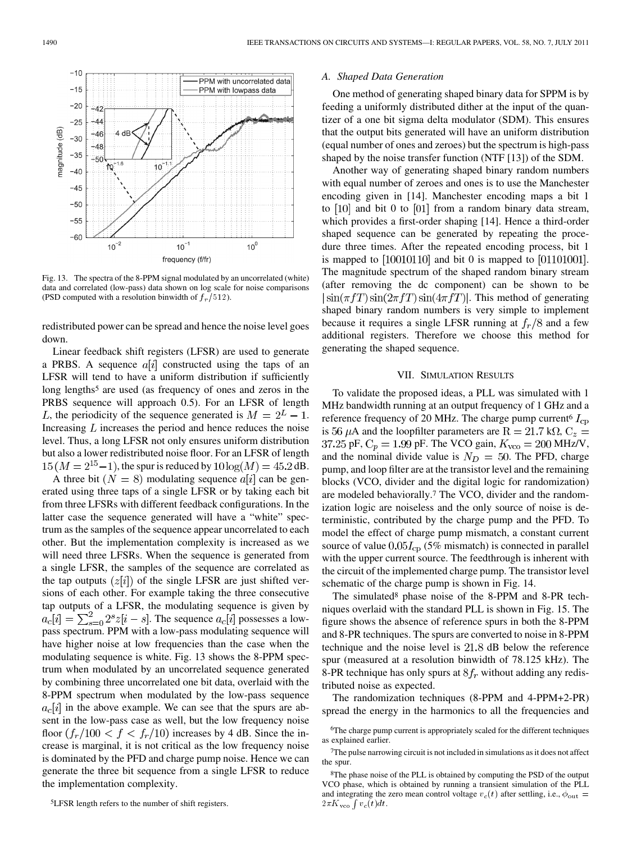

Fig. 13. The spectra of the 8-PPM signal modulated by an uncorrelated (white) data and correlated (low-pass) data shown on log scale for noise comparisons (PSD computed with a resolution binwidth of  $f_r/512$ ).

redistributed power can be spread and hence the noise level goes down.

Linear feedback shift registers (LFSR) are used to generate a PRBS. A sequence  $a[i]$  constructed using the taps of an LFSR will tend to have a uniform distribution if sufficiently long lengths<sup>5</sup> are used (as frequency of ones and zeros in the PRBS sequence will approach 0.5). For an LFSR of length L, the periodicity of the sequence generated is  $M = 2^L - 1$ . Increasing  $L$  increases the period and hence reduces the noise level. Thus, a long LFSR not only ensures uniform distribution but also a lower redistributed noise floor. For an LFSR of length  $15 (M = 2^{15}-1)$ , the spur is reduced by  $10 \log(M) = 45.2$  dB.

A three bit  $(N = 8)$  modulating sequence  $a[i]$  can be generated using three taps of a single LFSR or by taking each bit from three LFSRs with different feedback configurations. In the latter case the sequence generated will have a "white" spectrum as the samples of the sequence appear uncorrelated to each other. But the implementation complexity is increased as we will need three LFSRs. When the sequence is generated from a single LFSR, the samples of the sequence are correlated as the tap outputs  $(z[i])$  of the single LFSR are just shifted versions of each other. For example taking the three consecutive tap outputs of a LFSR, the modulating sequence is given by  $a_c[i] = \sum_{s=0}^{2} 2^s z[i-s]$ . The sequence  $a_c[i]$  possesses a lowpass spectrum. PPM with a low-pass modulating sequence will have higher noise at low frequencies than the case when the modulating sequence is white. Fig. 13 shows the 8-PPM spectrum when modulated by an uncorrelated sequence generated by combining three uncorrelated one bit data, overlaid with the 8-PPM spectrum when modulated by the low-pass sequence  $a_c[i]$  in the above example. We can see that the spurs are absent in the low-pass case as well, but the low frequency noise floor  $(f_r/100 < f < f_r/10)$  increases by 4 dB. Since the increase is marginal, it is not critical as the low frequency noise is dominated by the PFD and charge pump noise. Hence we can generate the three bit sequence from a single LFSR to reduce the implementation complexity.

## *A. Shaped Data Generation*

One method of generating shaped binary data for SPPM is by feeding a uniformly distributed dither at the input of the quantizer of a one bit sigma delta modulator (SDM). This ensures that the output bits generated will have an uniform distribution (equal number of ones and zeroes) but the spectrum is high-pass shaped by the noise transfer function (NTF [13]) of the SDM.

Another way of generating shaped binary random numbers with equal number of zeroes and ones is to use the Manchester encoding given in [14]. Manchester encoding maps a bit 1 to  $[10]$  and bit 0 to  $[01]$  from a random binary data stream, which provides a first-order shaping [14]. Hence a third-order shaped sequence can be generated by repeating the procedure three times. After the repeated encoding process, bit 1 is mapped to  $[10010110]$  and bit 0 is mapped to  $[01101001]$ . The magnitude spectrum of the shaped random binary stream (after removing the dc component) can be shown to be  $|\sin(\pi fT)\sin(2\pi fT)\sin(4\pi fT)|$ . This method of generating shaped binary random numbers is very simple to implement because it requires a single LFSR running at  $f_r/8$  and a few additional registers. Therefore we choose this method for generating the shaped sequence.

#### VII. SIMULATION RESULTS

To validate the proposed ideas, a PLL was simulated with 1 MHz bandwidth running at an output frequency of 1 GHz and a reference frequency of 20 MHz. The charge pump current  $I_{\text{CD}}$ is 56  $\mu$ A and the loopfilter parameters are R = 21.7 kQ, C<sub>z</sub> = 37.25 pF,  $C_p = 1.99$  pF. The VCO gain,  $K_{\text{vco}} = 200$  MHz/V, and the nominal divide value is  $N_D = 50$ . The PFD, charge pump, and loop filter are at the transistor level and the remaining blocks (VCO, divider and the digital logic for randomization) are modeled behaviorally.7 The VCO, divider and the randomization logic are noiseless and the only source of noise is deterministic, contributed by the charge pump and the PFD. To model the effect of charge pump mismatch, a constant current source of value  $0.05I_{cp}$  (5% mismatch) is connected in parallel with the upper current source. The feedthrough is inherent with the circuit of the implemented charge pump. The transistor level schematic of the charge pump is shown in Fig. 14.

The simulated<sup>8</sup> phase noise of the 8-PPM and 8-PR techniques overlaid with the standard PLL is shown in Fig. 15. The figure shows the absence of reference spurs in both the 8-PPM and 8-PR techniques. The spurs are converted to noise in 8-PPM technique and the noise level is  $21.8$  dB below the reference spur (measured at a resolution binwidth of 78.125 kHz). The 8-PR technique has only spurs at  $8f_r$  without adding any redistributed noise as expected.

The randomization techniques (8-PPM and 4-PPM+2-PR) spread the energy in the harmonics to all the frequencies and

<sup>6</sup>The charge pump current is appropriately scaled for the different techniques as explained earlier.

<sup>7</sup>The pulse narrowing circuit is not included in simulations as it does not affect the spur.

<sup>&</sup>lt;sup>8</sup>The phase noise of the PLL is obtained by computing the PSD of the output VCO phase, which is obtained by running a transient simulation of the PLL and integrating the zero mean control voltage  $v_c(t)$  after settling, i.e.,  $\phi_{\text{out}} =$  $2\pi K_{\rm vco} \int v_c(t) dt$ .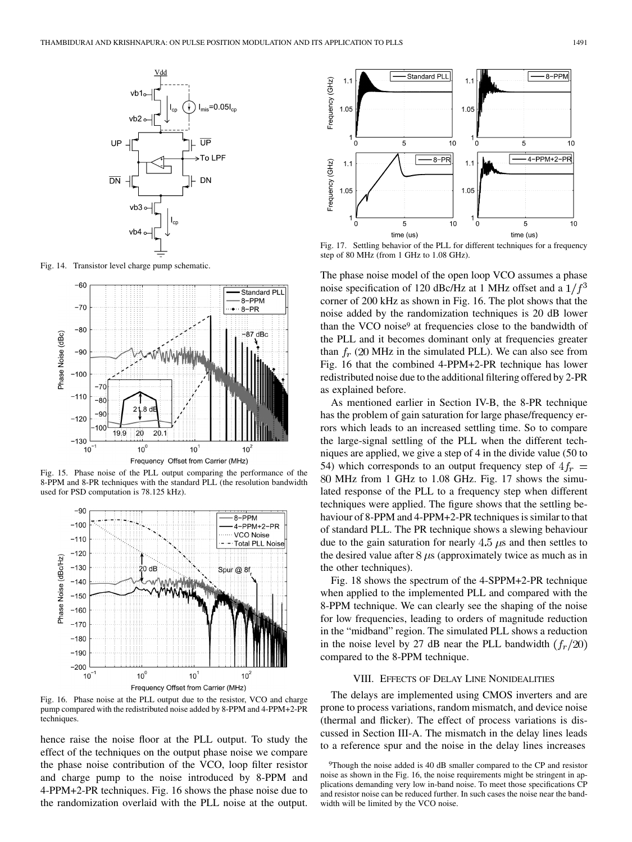

Fig. 14. Transistor level charge pump schematic.



Fig. 15. Phase noise of the PLL output comparing the performance of the 8-PPM and 8-PR techniques with the standard PLL (the resolution bandwidth used for PSD computation is 78.125 kHz).



Fig. 16. Phase noise at the PLL output due to the resistor, VCO and charge pump compared with the redistributed noise added by 8-PPM and 4-PPM+2-PR techniques.

hence raise the noise floor at the PLL output. To study the effect of the techniques on the output phase noise we compare the phase noise contribution of the VCO, loop filter resistor and charge pump to the noise introduced by 8-PPM and 4-PPM+2-PR techniques. Fig. 16 shows the phase noise due to the randomization overlaid with the PLL noise at the output.



Fig. 17. Settling behavior of the PLL for different techniques for a frequency step of 80 MHz (from 1 GHz to 1.08 GHz).

The phase noise model of the open loop VCO assumes a phase noise specification of 120 dBc/Hz at 1 MHz offset and a  $1/f<sup>3</sup>$ corner of 200 kHz as shown in Fig. 16. The plot shows that the noise added by the randomization techniques is 20 dB lower than the VCO noise<sup>9</sup> at frequencies close to the bandwidth of the PLL and it becomes dominant only at frequencies greater than  $f_r$  (20 MHz in the simulated PLL). We can also see from Fig. 16 that the combined 4-PPM+2-PR technique has lower redistributed noise due to the additional filtering offered by 2-PR as explained before.

As mentioned earlier in Section IV-B, the 8-PR technique has the problem of gain saturation for large phase/frequency errors which leads to an increased settling time. So to compare the large-signal settling of the PLL when the different techniques are applied, we give a step of 4 in the divide value (50 to 54) which corresponds to an output frequency step of  $4f<sub>r</sub>$  = MHz from 1 GHz to 1.08 GHz. Fig. 17 shows the simulated response of the PLL to a frequency step when different techniques were applied. The figure shows that the settling behaviour of 8-PPM and 4-PPM+2-PR techniques is similar to that of standard PLL. The PR technique shows a slewing behaviour due to the gain saturation for nearly  $4.5 \mu s$  and then settles to the desired value after  $8 \mu s$  (approximately twice as much as in the other techniques).

Fig. 18 shows the spectrum of the 4-SPPM+2-PR technique when applied to the implemented PLL and compared with the 8-PPM technique. We can clearly see the shaping of the noise for low frequencies, leading to orders of magnitude reduction in the "midband" region. The simulated PLL shows a reduction in the noise level by 27 dB near the PLL bandwidth  $(f_r/20)$ compared to the 8-PPM technique.

# VIII. EFFECTS OF DELAY LINE NONIDEALITIES

The delays are implemented using CMOS inverters and are prone to process variations, random mismatch, and device noise (thermal and flicker). The effect of process variations is discussed in Section III-A. The mismatch in the delay lines leads to a reference spur and the noise in the delay lines increases

<sup>9</sup>Though the noise added is 40 dB smaller compared to the CP and resistor noise as shown in the Fig. 16, the noise requirements might be stringent in applications demanding very low in-band noise. To meet those specifications CP and resistor noise can be reduced further. In such cases the noise near the bandwidth will be limited by the VCO noise.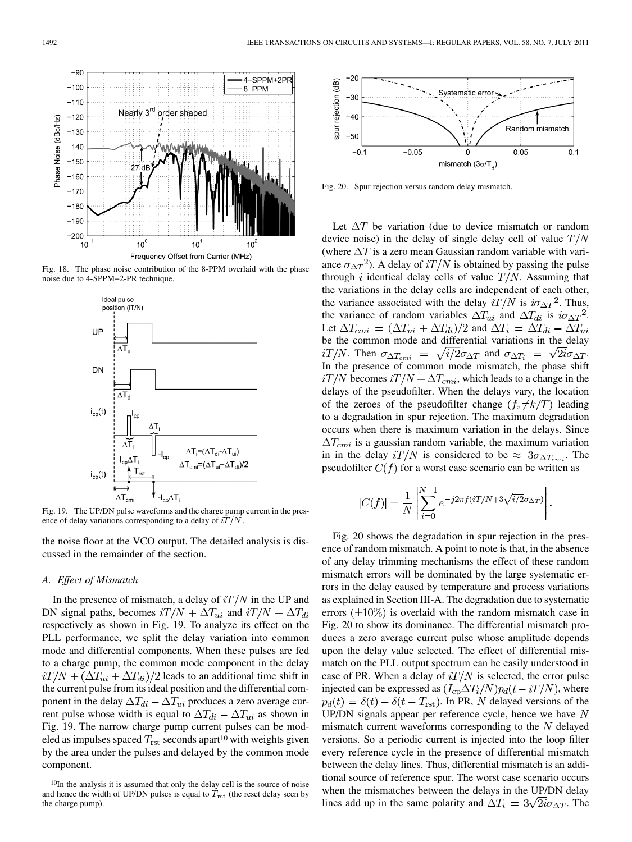Fig. 18. The phase noise contribution of the 8-PPM overlaid with the phase noise due to 4-SPPM+2-PR technique.

 $10<sup>1</sup>$ Frequency Offset from Carrier (MHz)

Nearly 3<sup>rd</sup> order shaped

 $27$ 

 $10<sup>0</sup>$ 

 $4-SPPM+2PR$ 

8-PPM



Fig. 19. The UP/DN pulse waveforms and the charge pump current in the presence of delay variations corresponding to a delay of  $iT/N$ .

the noise floor at the VCO output. The detailed analysis is discussed in the remainder of the section.

#### *A. Effect of Mismatch*

In the presence of mismatch, a delay of  $iT/N$  in the UP and DN signal paths, becomes  $iT/N + \Delta T_{ui}$  and  $iT/N + \Delta T_{di}$ respectively as shown in Fig. 19. To analyze its effect on the PLL performance, we split the delay variation into common mode and differential components. When these pulses are fed to a charge pump, the common mode component in the delay  $\frac{i}{N} + \frac{\Delta T_{ui} + \Delta T_{di}}{2}$  leads to an additional time shift in the current pulse from its ideal position and the differential component in the delay  $\Delta T_{di} - \Delta T_{ui}$  produces a zero average current pulse whose width is equal to  $\Delta T_{di} - \Delta T_{ui}$  as shown in Fig. 19. The narrow charge pump current pulses can be modeled as impulses spaced  $T_{\text{rst}}$  seconds apart<sup>10</sup> with weights given by the area under the pulses and delayed by the common mode component.



Fig. 20. Spur rejection versus random delay mismatch.

Let  $\Delta T$  be variation (due to device mismatch or random device noise) in the delay of single delay cell of value  $T/N$ (where  $\Delta T$  is a zero mean Gaussian random variable with variance  $\sigma_{\Delta T}^2$ ). A delay of  $iT/N$  is obtained by passing the pulse through i identical delay cells of value  $T/N$ . Assuming that the variations in the delay cells are independent of each other, the variance associated with the delay iT/N is  $i\sigma_{\Delta T}^2$ . Thus, the variance of random variables  $\Delta T_{ui}$  and  $\Delta T_{di}$  is  $i\sigma_{\Delta T}^2$ . Let  $\Delta T_{cmi} = (\Delta T_{ui} + \Delta T_{di})/2$  and  $\Delta T_i = \Delta T_{di} - \Delta T_{ui}$ be the common mode and differential variations in the delay  $i T/N$ . Then  $\sigma_{\Delta T_{cmi}} = \sqrt{i/2} \sigma_{\Delta T}$  and  $\sigma_{\Delta T_i} = \sqrt{2i} \sigma_{\Delta T}$ . In the presence of common mode mismatch, the phase shift  $i / N$  becomes  $i / N + \Delta T_{cmi}$ , which leads to a change in the delays of the pseudofilter. When the delays vary, the location of the zeroes of the pseudofilter change  $(f_z \neq k/T)$  leading to a degradation in spur rejection. The maximum degradation occurs when there is maximum variation in the delays. Since  $\Delta T_{cmi}$  is a gaussian random variable, the maximum variation in in the delay iT/N is considered to be  $\approx 3\sigma_{\Delta T_{cmi}}$ . The pseudofilter  $C(f)$  for a worst case scenario can be written as

$$
|C(f)| = \frac{1}{N} \left| \sum_{i=0}^{N-1} e^{-j2\pi f(iT/N + 3\sqrt{i/2}\sigma_{\Delta T})} \right|.
$$

Fig. 20 shows the degradation in spur rejection in the presence of random mismatch. A point to note is that, in the absence of any delay trimming mechanisms the effect of these random mismatch errors will be dominated by the large systematic errors in the delay caused by temperature and process variations as explained in Section III-A. The degradation due to systematic errors  $(\pm 10\%)$  is overlaid with the random mismatch case in Fig. 20 to show its dominance. The differential mismatch produces a zero average current pulse whose amplitude depends upon the delay value selected. The effect of differential mismatch on the PLL output spectrum can be easily understood in case of PR. When a delay of  $iT/N$  is selected, the error pulse injected can be expressed as  $(I_{cp} \Delta T_i/N) p_d(t - iT/N)$ , where  $p_d(t) = \delta(t) - \delta(t - T_{\text{rst}})$ . In PR, N delayed versions of the UP/DN signals appear per reference cycle, hence we have  $N$ mismatch current waveforms corresponding to the  $N$  delayed versions. So a periodic current is injected into the loop filter every reference cycle in the presence of differential mismatch between the delay lines. Thus, differential mismatch is an additional source of reference spur. The worst case scenario occurs when the mismatches between the delays in the UP/DN delay lines add up in the same polarity and  $\Delta T_i = 3\sqrt{2i}\sigma_{\Delta T}$ . The

 $-90$ 

 $-100$ 

 $-110$ 

 $-120$ 

 $-130$ 

 $-140$ 

 $-150$ 

 $-160$  $-170$  $-180$  $-190$  $-200$ 

 $10$ 

Phase Noise (dBc/Hz)

<sup>10</sup>In the analysis it is assumed that only the delay cell is the source of noise and hence the width of UP/DN pulses is equal to  $T_{\rm rst}$  (the reset delay seen by the charge pump).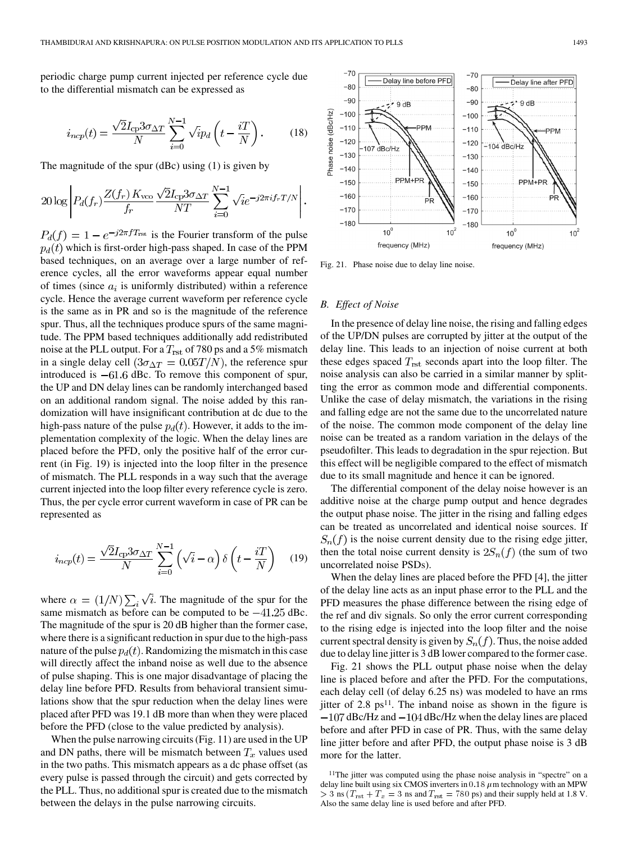periodic charge pump current injected per reference cycle due to the differential mismatch can be expressed as

$$
i_{ncp}(t) = \frac{\sqrt{2}I_{cp}3\sigma_{\Delta T}}{N} \sum_{i=0}^{N-1} \sqrt{i}p_d \left(t - \frac{iT}{N}\right). \tag{18}
$$

The magnitude of the spur (dBc) using (1) is given by

$$
20\log \left| P_d(f_r) \frac{Z(f_r) K_{\text{vco}} \sqrt{2} I_{\text{cp}} 3\sigma_{\Delta T}}{NT} \sum_{i=0}^{N-1} \sqrt{i} e^{-j2\pi i f_r T/N} \right|.
$$

 $P_d(f) = 1 - e^{-j2\pi fT_{\text{rst}}}$  is the Fourier transform of the pulse  $p_d(t)$  which is first-order high-pass shaped. In case of the PPM based techniques, on an average over a large number of reference cycles, all the error waveforms appear equal number of times (since  $a_i$  is uniformly distributed) within a reference cycle. Hence the average current waveform per reference cycle is the same as in PR and so is the magnitude of the reference spur. Thus, all the techniques produce spurs of the same magnitude. The PPM based techniques additionally add redistributed noise at the PLL output. For a  $T_{\rm rst}$  of 780 ps and a 5% mismatch in a single delay cell  $(3\sigma_{\Delta T} = 0.05T/N)$ , the reference spur introduced is  $-61.6$  dBc. To remove this component of spur, the UP and DN delay lines can be randomly interchanged based on an additional random signal. The noise added by this randomization will have insignificant contribution at dc due to the high-pass nature of the pulse  $p_d(t)$ . However, it adds to the implementation complexity of the logic. When the delay lines are placed before the PFD, only the positive half of the error current (in Fig. 19) is injected into the loop filter in the presence of mismatch. The PLL responds in a way such that the average current injected into the loop filter every reference cycle is zero. Thus, the per cycle error current waveform in case of PR can be represented as

$$
i_{ncp}(t) = \frac{\sqrt{2}I_{cp}3\sigma_{\Delta T}}{N} \sum_{i=0}^{N-1} \left(\sqrt{i} - \alpha\right) \delta\left(t - \frac{iT}{N}\right) \tag{19}
$$

where  $\alpha = (1/N) \sum_i \sqrt{i}$ . The magnitude of the spur for the same mismatch as before can be computed to be  $-41.25$  dBc. The magnitude of the spur is 20 dB higher than the former case, where there is a significant reduction in spur due to the high-pass nature of the pulse  $p_d(t)$ . Randomizing the mismatch in this case will directly affect the inband noise as well due to the absence of pulse shaping. This is one major disadvantage of placing the delay line before PFD. Results from behavioral transient simulations show that the spur reduction when the delay lines were placed after PFD was 19.1 dB more than when they were placed before the PFD (close to the value predicted by analysis).

When the pulse narrowing circuits (Fig. 11) are used in the UP and DN paths, there will be mismatch between  $T_x$  values used in the two paths. This mismatch appears as a dc phase offset (as every pulse is passed through the circuit) and gets corrected by the PLL. Thus, no additional spur is created due to the mismatch between the delays in the pulse narrowing circuits.



Fig. 21. Phase noise due to delay line noise.

# *B. Effect of Noise*

In the presence of delay line noise, the rising and falling edges of the UP/DN pulses are corrupted by jitter at the output of the delay line. This leads to an injection of noise current at both these edges spaced  $T_{\text{rst}}$  seconds apart into the loop filter. The noise analysis can also be carried in a similar manner by splitting the error as common mode and differential components. Unlike the case of delay mismatch, the variations in the rising and falling edge are not the same due to the uncorrelated nature of the noise. The common mode component of the delay line noise can be treated as a random variation in the delays of the pseudofilter. This leads to degradation in the spur rejection. But this effect will be negligible compared to the effect of mismatch due to its small magnitude and hence it can be ignored.

The differential component of the delay noise however is an additive noise at the charge pump output and hence degrades the output phase noise. The jitter in the rising and falling edges can be treated as uncorrelated and identical noise sources. If  $S_n(f)$  is the noise current density due to the rising edge jitter, then the total noise current density is  $2S_n(f)$  (the sum of two uncorrelated noise PSDs).

When the delay lines are placed before the PFD [4], the jitter of the delay line acts as an input phase error to the PLL and the PFD measures the phase difference between the rising edge of the ref and div signals. So only the error current corresponding to the rising edge is injected into the loop filter and the noise current spectral density is given by  $S_n(f)$ . Thus, the noise added due to delay line jitter is 3 dB lower compared to the former case.

Fig. 21 shows the PLL output phase noise when the delay line is placed before and after the PFD. For the computations, each delay cell (of delay 6.25 ns) was modeled to have an rms jitter of  $2.8 \text{ ps}^{11}$ . The inband noise as shown in the figure is  $-107$  dBc/Hz and  $-104$  dBc/Hz when the delay lines are placed before and after PFD in case of PR. Thus, with the same delay line jitter before and after PFD, the output phase noise is 3 dB more for the latter.

<sup>11</sup>The jitter was computed using the phase noise analysis in "spectre" on a delay line built using six CMOS inverters in  $0.18 \mu$ m technology with an MPW  $>$  3 ns ( $T_{\text{rst}} + T_x = 3$  ns and  $T_{\text{rst}} = 780$  ps) and their supply held at 1.8 V. Also the same delay line is used before and after PFD.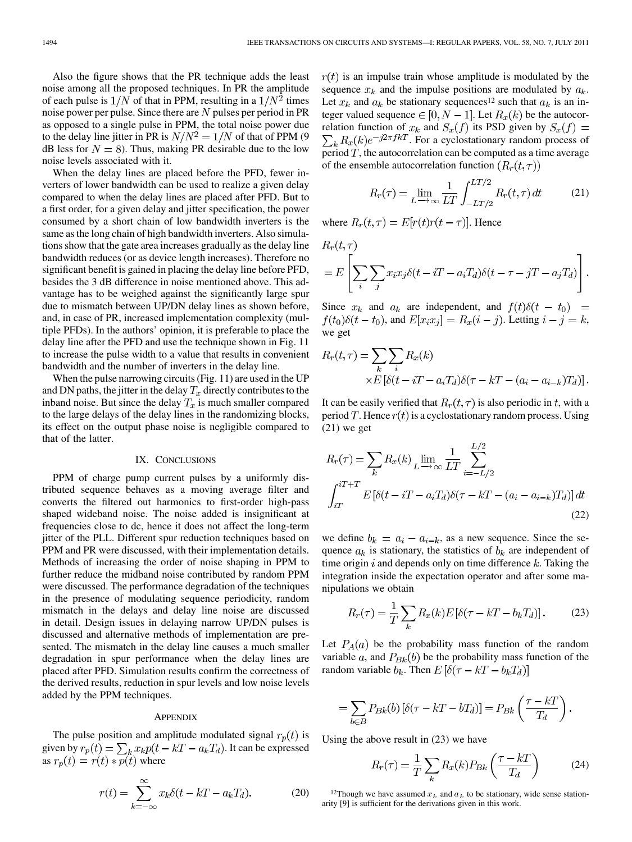Also the figure shows that the PR technique adds the least noise among all the proposed techniques. In PR the amplitude of each pulse is  $1/N$  of that in PPM, resulting in a  $1/N^2$  times noise power per pulse. Since there are  $N$  pulses per period in PR as opposed to a single pulse in PPM, the total noise power due to the delay line jitter in PR is  $N/N^2 = 1/N$  of that of PPM (9) dB less for  $N = 8$ ). Thus, making PR desirable due to the low noise levels associated with it.

When the delay lines are placed before the PFD, fewer inverters of lower bandwidth can be used to realize a given delay compared to when the delay lines are placed after PFD. But to a first order, for a given delay and jitter specification, the power consumed by a short chain of low bandwidth inverters is the same as the long chain of high bandwidth inverters. Also simulations show that the gate area increases gradually as the delay line bandwidth reduces (or as device length increases). Therefore no significant benefit is gained in placing the delay line before PFD, besides the 3 dB difference in noise mentioned above. This advantage has to be weighed against the significantly large spur due to mismatch between UP/DN delay lines as shown before, and, in case of PR, increased implementation complexity (multiple PFDs). In the authors' opinion, it is preferable to place the delay line after the PFD and use the technique shown in Fig. 11 to increase the pulse width to a value that results in convenient bandwidth and the number of inverters in the delay line.

When the pulse narrowing circuits (Fig. 11) are used in the UP and DN paths, the jitter in the delay  $T_x$  directly contributes to the inband noise. But since the delay  $T_x$  is much smaller compared to the large delays of the delay lines in the randomizing blocks, its effect on the output phase noise is negligible compared to that of the latter.

#### IX. CONCLUSIONS

PPM of charge pump current pulses by a uniformly distributed sequence behaves as a moving average filter and converts the filtered out harmonics to first-order high-pass shaped wideband noise. The noise added is insignificant at frequencies close to dc, hence it does not affect the long-term jitter of the PLL. Different spur reduction techniques based on PPM and PR were discussed, with their implementation details. Methods of increasing the order of noise shaping in PPM to further reduce the midband noise contributed by random PPM were discussed. The performance degradation of the techniques in the presence of modulating sequence periodicity, random mismatch in the delays and delay line noise are discussed in detail. Design issues in delaying narrow UP/DN pulses is discussed and alternative methods of implementation are presented. The mismatch in the delay line causes a much smaller degradation in spur performance when the delay lines are placed after PFD. Simulation results confirm the correctness of the derived results, reduction in spur levels and low noise levels added by the PPM techniques.

#### **APPENDIX**

The pulse position and amplitude modulated signal  $r_p(t)$  is given by  $r_p(t) = \sum_k x_k p(t - kT - a_k T_d)$ . It can be expressed as  $r_p(t) = r(t) * p(t)$  where

$$
r(t) = \sum_{k=-\infty}^{\infty} x_k \delta(t - kT - a_k T_d).
$$
 (20)

 $r(t)$  is an impulse train whose amplitude is modulated by the sequence  $x_k$  and the impulse positions are modulated by  $a_k$ . Let  $x_k$  and  $a_k$  be stationary sequences<sup>12</sup> such that  $a_k$  is an integer valued sequence  $\in [0, N-1]$ . Let  $R_x(k)$  be the autocorrelation function of  $x_k$  and  $S_x(f)$  its PSD given by  $S_x(f)$  =  $\sum_{k} R_{x}(k) e^{-j2\pi f kT}$ . For a cyclostationary random process of period  $T$ , the autocorrelation can be computed as a time average of the ensemble autocorrelation function  $(R_r(t,\tau))$ 

$$
R_r(\tau) = \lim_{L \to \infty} \frac{1}{LT} \int_{-LT/2}^{LT/2} R_r(t, \tau) dt \tag{21}
$$

where  $R_r(t,\tau) = E[r(t)r(t-\tau)]$ . Hence

$$
R_r(t,\tau)
$$
  
=  $E\left[\sum_i\sum_j x_i x_j \delta(t - iT - a_i T_d) \delta(t - \tau - jT - a_j T_d)\right].$ 

Since  $x_k$  and  $a_k$  are independent, and  $f(t)\delta(t - t_0) =$  $f(t_0)\delta(t-t_0)$ , and  $E[x_ix_j] = R_x(i-j)$ . Letting  $i-j = k$ , we get

$$
R_r(t,\tau) = \sum_k \sum_i R_x(k)
$$
  
×E[ $\delta(t - iT - a_iT_d)\delta(\tau - kT - (a_i - a_{i-k})T_d)$ ].

It can be easily verified that  $R_r(t, \tau)$  is also periodic in t, with a period T. Hence  $r(t)$  is a cyclostationary random process. Using  $(21)$  we get

$$
R_r(\tau) = \sum_k R_x(k) \lim_{L \to \infty} \frac{1}{LT} \sum_{i=-L/2}^{L/2}
$$

$$
\int_{iT}^{iT+T} E\left[\delta(t - iT - a_i T_d)\delta(\tau - kT - (a_i - a_{i-k})T_d)\right] dt
$$
(22)

we define  $b_k = a_i - a_{i-k}$ , as a new sequence. Since the sequence  $a_k$  is stationary, the statistics of  $b_k$  are independent of time origin  $i$  and depends only on time difference  $k$ . Taking the integration inside the expectation operator and after some manipulations we obtain

$$
R_r(\tau) = \frac{1}{T} \sum_k R_x(k) E\left[\delta(\tau - kT - b_k T_d)\right].\tag{23}
$$

Let  $P_A(a)$  be the probability mass function of the random variable a, and  $P_{Bk}(b)$  be the probability mass function of the random variable  $b_k$ . Then  $E\left[\delta(\tau - kT - b_kT_d)\right]$ 

$$
= \sum_{b \in B} P_{Bk}(b) \left[ \delta(\tau - kT - bT_d) \right] = P_{Bk} \left( \frac{\tau - kT}{T_d} \right).
$$

Using the above result in (23) we have

$$
R_r(\tau) = \frac{1}{T} \sum_k R_x(k) P_{Bk} \left( \frac{\tau - kT}{T_d} \right) \tag{24}
$$

<sup>12</sup>Though we have assumed  $x_k$  and  $a_k$  to be stationary, wide sense stationarity [9] is sufficient for the derivations given in this work.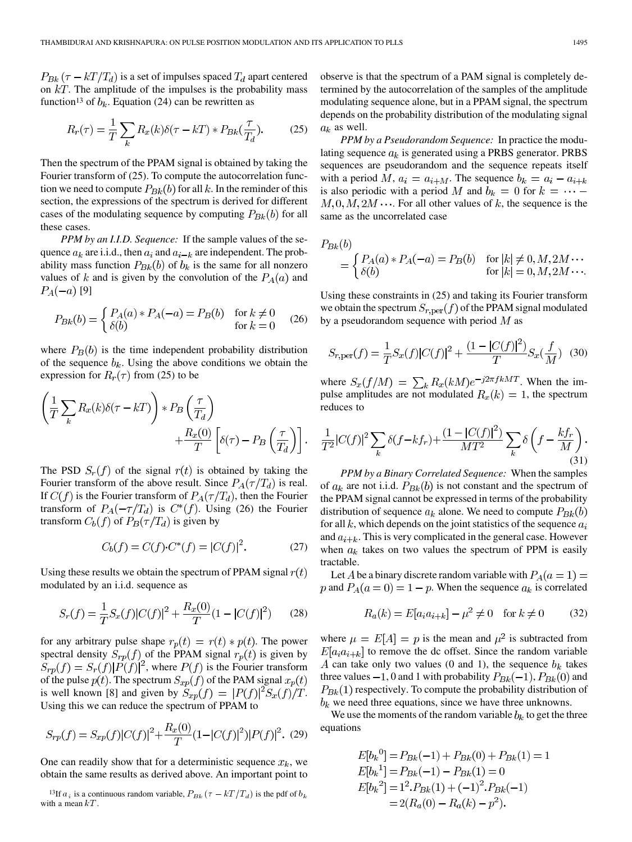$P_{Bk}(\tau - kT/T_d)$  is a set of impulses spaced  $T_d$  apart centered on  $kT$ . The amplitude of the impulses is the probability mass function<sup>13</sup> of  $b_k$ . Equation (24) can be rewritten as

$$
R_r(\tau) = \frac{1}{T} \sum_k R_x(k) \delta(\tau - kT) * P_{Bk}(\frac{\tau}{T_d}).
$$
 (25)

Then the spectrum of the PPAM signal is obtained by taking the Fourier transform of (25). To compute the autocorrelation function we need to compute  $P_{Bk}(b)$  for all k. In the reminder of this section, the expressions of the spectrum is derived for different cases of the modulating sequence by computing  $P_{Bk}(b)$  for all these cases.

*PPM by an I.I.D. Sequence:* If the sample values of the sequence  $a_k$  are i.i.d., then  $a_i$  and  $a_{i-k}$  are independent. The probability mass function  $P_{Bk}(b)$  of  $b_k$  is the same for all nonzero values of k and is given by the convolution of the  $P_A(a)$  and  $P_A(-a)$  [9]

$$
P_{Bk}(b) = \begin{cases} P_A(a) * P_A(-a) = P_B(b) & \text{for } k \neq 0\\ \delta(b) & \text{for } k = 0 \end{cases}
$$
 (26)

where  $P_B(b)$  is the time independent probability distribution of the sequence  $b_k$ . Using the above conditions we obtain the expression for  $R_r(\tau)$  from (25) to be

$$
\left(\frac{1}{T}\sum_{k} R_{x}(k)\delta(\tau - kT)\right) * P_{B}\left(\frac{\tau}{T_{d}}\right) + \frac{R_{x}(0)}{T}\left[\delta(\tau) - P_{B}\left(\frac{\tau}{T_{d}}\right)\right].
$$

The PSD  $S_r(f)$  of the signal  $r(t)$  is obtained by taking the Fourier transform of the above result. Since  $P_A(\tau/T_d)$  is real. If  $C(f)$  is the Fourier transform of  $P_A(\tau/T_d)$ , then the Fourier transform of  $P_A(-\tau/T_d)$  is  $C^*(f)$ . Using (26) the Fourier transform  $C_b(f)$  of  $P_B(\tau/T_d)$  is given by

$$
C_b(f) = C(f) \cdot C^*(f) = |C(f)|^2. \tag{27}
$$

Using these results we obtain the spectrum of PPAM signal  $r(t)$ modulated by an i.i.d. sequence as

$$
S_r(f) = \frac{1}{T} S_x(f) |C(f)|^2 + \frac{R_x(0)}{T} (1 - |C(f)|^2)
$$
 (28)

for any arbitrary pulse shape  $r_p(t) = r(t) * p(t)$ . The power spectral density  $S_{rp}(f)$  of the PPAM signal  $r_p(t)$  is given by  $S_{rp}(f) = S_r(f)|P(f)|^2$ , where  $P(f)$  is the Fourier transform of the pulse  $p(t)$ . The spectrum  $S_{xp}(f)$  of the PAM signal  $x_p(t)$ is well known [8] and given by  $S_{xp}(f) = |P(f)|^2 S_x(f)/T$ . Using this we can reduce the spectrum of PPAM to

$$
S_{rp}(f) = S_{xp}(f)|C(f)|^2 + \frac{R_x(0)}{T}(1 - |C(f)|^2)|P(f)|^2.
$$
 (29)

One can readily show that for a deterministic sequence  $x_k$ , we obtain the same results as derived above. An important point to The can readily show that for a deterministic sequence  $x_k$ , which the same results as derived above. An important point to  $^{13}$  If  $a_i$  is a continuous random variable,  $P_{Bk}(\tau - kT/T_d)$  is the pdf of b

observe is that the spectrum of a PAM signal is completely determined by the autocorrelation of the samples of the amplitude modulating sequence alone, but in a PPAM signal, the spectrum depends on the probability distribution of the modulating signal  $a_k$  as well.

*PPM by a Pseudorandom Sequence:* In practice the modulating sequence  $a_k$  is generated using a PRBS generator. PRBS sequences are pseudorandom and the sequence repeats itself with a period M,  $a_i = a_{i+M}$ . The sequence  $b_k = a_i - a_{i+k}$ is also periodic with a period M and  $b_k = 0$  for  $k = \cdots$  $M, 0, M, 2M \cdots$ . For all other values of k, the sequence is the same as the uncorrelated case

$$
P_{Bk}(b)
$$
  
= 
$$
\begin{cases} P_A(a) * P_A(-a) = P_B(b) & \text{for } |k| \neq 0, M, 2M \cdots \\ \delta(b) & \text{for } |k| = 0, M, 2M \cdots. \end{cases}
$$

Using these constraints in (25) and taking its Fourier transform we obtain the spectrum  $S_{r,per}(f)$  of the PPAM signal modulated by a pseudorandom sequence with period  $M$  as

$$
S_{r,\text{per}}(f) = \frac{1}{T} S_x(f) |C(f)|^2 + \frac{(1 - |C(f)|^2)}{T} S_x(\frac{f}{M}) \tag{30}
$$

where  $S_x(f/M) = \sum_k R_x(kM)e^{-j2\pi fkMT}$ . When the impulse amplitudes are not modulated  $R_x(k) = 1$ , the spectrum reduces to

$$
\frac{1}{T^2}|C(f)|^2\sum_{k}\delta(f-kf_r)+\frac{(1-|C(f)|^2)}{MT^2}\sum_{k}\delta\left(f-\frac{kf_r}{M}\right). \tag{31}
$$

*PPM by a Binary Correlated Sequence:* When the samples of  $a_k$  are not i.i.d.  $P_{Bk}(b)$  is not constant and the spectrum of the PPAM signal cannot be expressed in terms of the probability distribution of sequence  $a_k$  alone. We need to compute  $P_{Bk}(b)$ for all  $k$ , which depends on the joint statistics of the sequence  $a_i$ and  $a_{i+k}$ . This is very complicated in the general case. However when  $a_k$  takes on two values the spectrum of PPM is easily tractable.

Let A be a binary discrete random variable with  $P_A(a=1)$  = p and  $P_A(a=0) = 1 - p$ . When the sequence  $a_k$  is correlated

$$
R_a(k) = E[a_i a_{i+k}] - \mu^2 \neq 0 \quad \text{for } k \neq 0 \tag{32}
$$

where  $\mu = E[A] = p$  is the mean and  $\mu^2$  is subtracted from  $E[a_i a_{i+k}]$  to remove the dc offset. Since the random variable A can take only two values (0 and 1), the sequence  $b_k$  takes three values  $-1$ , 0 and 1 with probability  $P_{Bk}(-1)$ ,  $P_{Bk}(0)$  and  $P_{Bk}(1)$  respectively. To compute the probability distribution of  $b_k$  we need three equations, since we have three unknowns.

We use the moments of the random variable  $b_k$  to get the three equations

$$
E[b_k^0] = P_{Bk}(-1) + P_{Bk}(0) + P_{Bk}(1) = 1
$$
  
\n
$$
E[b_k^1] = P_{Bk}(-1) - P_{Bk}(1) = 0
$$
  
\n
$$
E[b_k^2] = 1^2 \cdot P_{Bk}(1) + (-1)^2 \cdot P_{Bk}(-1)
$$
  
\n
$$
= 2(R_a(0) - R_a(k) - p^2).
$$

with a mean  $kT$ .